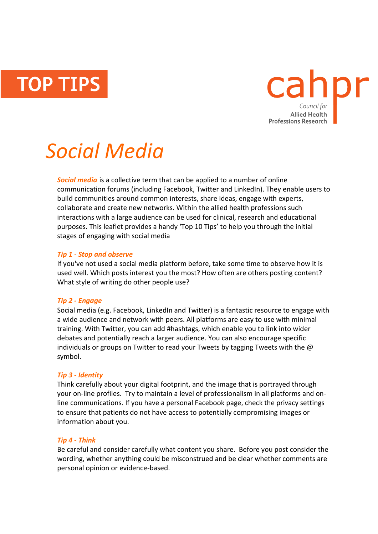**TOP TIPS** 



# *Social Media*

*Social media* is a collective term that can be applied to a number of online communication forums (including Facebook, Twitter and LinkedIn). They enable users to build communities around common interests, share ideas, engage with experts, collaborate and create new networks. Within the allied health professions such interactions with a large audience can be used for clinical, research and educational purposes. This leaflet provides a handy 'Top 10 Tips' to help you through the initial stages of engaging with social media

## *Tip 1 - Stop and observe*

If you've not used a social media platform before, take some time to observe how it is used well. Which posts interest you the most? How often are others posting content? What style of writing do other people use?

## *Tip 2 - Engage*

Social media (e.g. Facebook, LinkedIn and Twitter) is a fantastic resource to engage with a wide audience and network with peers. All platforms are easy to use with minimal training. With Twitter, you can add #hashtags, which enable you to link into wider debates and potentially reach a larger audience. You can also encourage specific individuals or groups on Twitter to read your Tweets by tagging Tweets with the  $\omega$ symbol.

## *Tip 3 - Identity*

Think carefully about your digital footprint, and the image that is portrayed through your on-line profiles. Try to maintain a level of professionalism in all platforms and online communications. If you have a personal Facebook page, check the privacy settings to ensure that patients do not have access to potentially compromising images or information about you.

## *Tip 4 - Think*

Be careful and consider carefully what content you share. Before you post consider the wording, whether anything could be misconstrued and be clear whether comments are personal opinion or evidence-based.